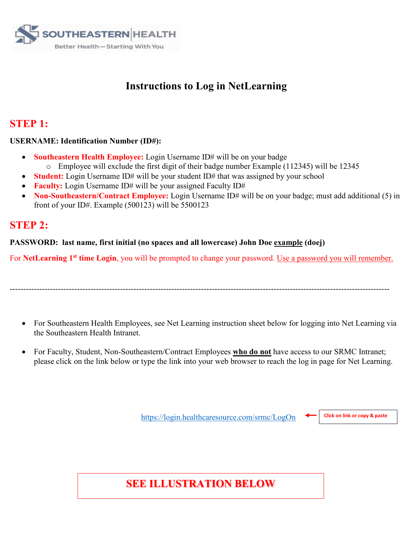

### **Instructions to Log in NetLearning**

#### **STEP 1:**

#### **USERNAME: Identification Number (ID#):**

- **Southeastern Health Employee:** Login Username ID# will be on your badge o Employee will exclude the first digit of their badge number Example (112345) will be 12345
- **Student:** Login Username ID# will be your student ID# that was assigned by your school
- **Faculty:** Login Username ID# will be your assigned Faculty ID#
- **Non-Southeastern/Contract Employee:** Login Username ID# will be on your badge; must add additional (5) in front of your ID#. Example (500123) will be 5500123

### **STEP 2:**

**PASSWORD: last name, first initial (no spaces and all lowercase) John Doe example (doej)**

For **NetLearning 1<sup>st</sup> time Login**, you will be prompted to change your password. Use a password you will remember.

---------------------------------------------------------------------------------------------------------------------------------------------

- For Southeastern Health Employees, see Net Learning instruction sheet below for logging into Net Learning via the Southeastern Health Intranet.
- For Faculty, Student, Non-Southeastern/Contract Employees **who do not** have access to our SRMC Intranet; please click on the link below or type the link into your web browser to reach the log in page for Net Learning.

<https://login.healthcaresource.com/srmc/LogOn>  $\leftarrow$  **Click on link or copy & paste** 

## **SEE ILLUSTRATION BELOW**